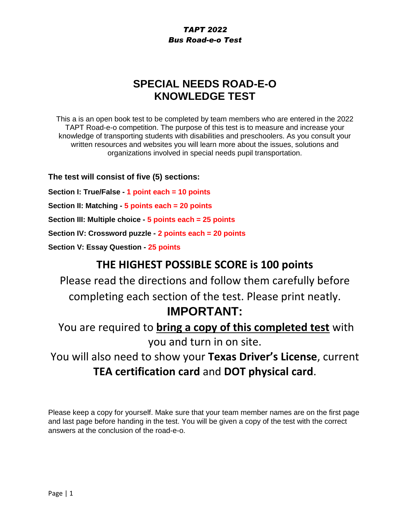# **SPECIAL NEEDS ROAD-E-O KNOWLEDGE TEST**

This a is an open book test to be completed by team members who are entered in the 2022 TAPT Road-e-o competition. The purpose of this test is to measure and increase your knowledge of transporting students with disabilities and preschoolers. As you consult your written resources and websites you will learn more about the issues, solutions and organizations involved in special needs pupil transportation.

**The test will consist of five (5) sections:**

**Section I: True/False - 1 point each = 10 points**

**Section II: Matching - 5 points each = 20 points**

**Section III: Multiple choice - 5 points each = 25 points**

**Section IV: Crossword puzzle - 2 points each = 20 points**

**Section V: Essay Question - 25 points**

# **THE HIGHEST POSSIBLE SCORE is 100 points**

Please read the directions and follow them carefully before completing each section of the test. Please print neatly. **IMPORTANT:**

You are required to **bring a copy of this completed test** with you and turn in on site.

You will also need to show your **Texas Driver's License**, current **TEA certification card** and **DOT physical card**.

Please keep a copy for yourself. Make sure that your team member names are on the first page and last page before handing in the test. You will be given a copy of the test with the correct answers at the conclusion of the road-e-o.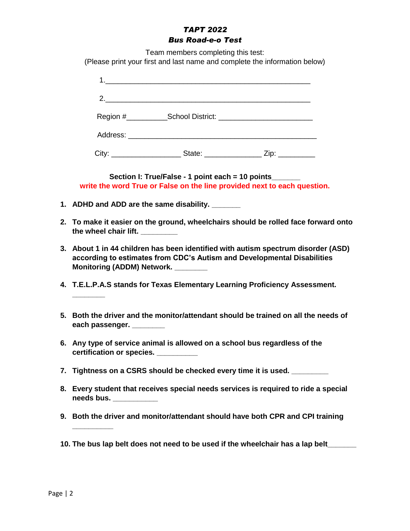Team members completing this test:

(Please print your first and last name and complete the information below)

| 2.                                                                                                                                  |  |
|-------------------------------------------------------------------------------------------------------------------------------------|--|
|                                                                                                                                     |  |
|                                                                                                                                     |  |
| City: ____________________________State: _________________________Zip: ___________                                                  |  |
| Section I: True/False - 1 point each = 10 points_______<br>write the word True or False on the line provided next to each question. |  |
| 1. ADHD and ADD are the same disability.                                                                                            |  |

- **2. To make it easier on the ground, wheelchairs should be rolled face forward onto the wheel chair lift. \_\_\_\_\_\_\_\_\_**
- **3. About 1 in 44 children has been identified with autism spectrum disorder (ASD) according to estimates from CDC's Autism and Developmental Disabilities Monitoring (ADDM) Network. \_\_\_\_\_\_\_\_**
- **4. T.E.L.P.A.S stands for Texas Elementary Learning Proficiency Assessment.**
- **5. Both the driver and the monitor/attendant should be trained on all the needs of each passenger. \_\_\_\_\_\_\_\_**
- **6. Any type of service animal is allowed on a school bus regardless of the certification or species. \_\_\_\_\_\_\_\_\_\_**
- **7. Tightness on a CSRS should be checked every time it is used. \_\_\_\_\_\_\_\_\_**
- **8. Every student that receives special needs services is required to ride a special needs bus. \_\_\_\_\_\_\_\_\_\_\_**
- **9. Both the driver and monitor/attendant should have both CPR and CPI training**
- **10. The bus lap belt does not need to be used if the wheelchair has a lap belt\_\_\_\_\_\_\_**

**\_\_\_\_\_\_\_\_**

**\_\_\_\_\_\_\_\_\_\_**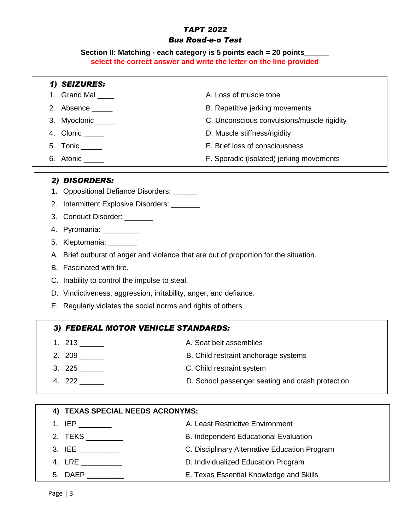### *TAPT 2022*

### *Bus Road-e-o Test*

**Section II: Matching - each category is 5 points each = 20 points\_\_\_\_\_\_ select the correct answer and write the letter on the line provided**

|                                  | 1) SEIZURES:                                                                             |                                                  |  |
|----------------------------------|------------------------------------------------------------------------------------------|--------------------------------------------------|--|
| 1.                               | Grand Mal ____                                                                           | A. Loss of muscle tone                           |  |
| 2.                               | Absence _____                                                                            | B. Repetitive jerking movements                  |  |
| 3.                               | Myoclonic _____                                                                          | C. Unconscious convulsions/muscle rigidity       |  |
| 4.                               | $Clonic$ <sub>______</sub>                                                               | D. Muscle stiffness/rigidity                     |  |
| 5.                               | Tonic _____                                                                              | E. Brief loss of consciousness                   |  |
|                                  | 6. Atonic _____                                                                          | F. Sporadic (isolated) jerking movements         |  |
|                                  | 2) DISORDERS:                                                                            |                                                  |  |
|                                  | 1. Oppositional Defiance Disorders: ______                                               |                                                  |  |
| 2.                               | Intermittent Explosive Disorders: _______                                                |                                                  |  |
|                                  | 3. Conduct Disorder: _______                                                             |                                                  |  |
|                                  | 4. Pyromania: __________                                                                 |                                                  |  |
| 5.                               | Kleptomania: _______                                                                     |                                                  |  |
|                                  | Brief outburst of anger and violence that are out of proportion for the situation.<br>А. |                                                  |  |
|                                  | B. Fascinated with fire.                                                                 |                                                  |  |
|                                  | C. Inability to control the impulse to steal.                                            |                                                  |  |
|                                  | D. Vindictiveness, aggression, irritability, anger, and defiance.                        |                                                  |  |
|                                  | E. Regularly violates the social norms and rights of others.                             |                                                  |  |
|                                  | 3) FEDERAL MOTOR VEHICLE STANDARDS:                                                      |                                                  |  |
|                                  |                                                                                          | A. Seat belt assemblies                          |  |
|                                  |                                                                                          | B. Child restraint anchorage systems             |  |
|                                  | 3. $225$                                                                                 | C. Child restraint system                        |  |
|                                  |                                                                                          | D. School passenger seating and crash protection |  |
|                                  |                                                                                          |                                                  |  |
| 4) TEXAS SPECIAL NEEDS ACRONYMS: |                                                                                          |                                                  |  |
|                                  |                                                                                          | A. Least Restrictive Environment                 |  |
| 2.                               | TEKS _________                                                                           | B. Independent Educational Evaluation            |  |
|                                  | $3.$ IEE $\_\_$                                                                          | C. Disciplinary Alternative Education Program    |  |
|                                  |                                                                                          |                                                  |  |

- 4. LRE \_\_\_\_\_\_\_\_\_\_ D. Individualized Education Program
- 5. DAEP **\_\_\_\_\_\_\_\_\_** E. Texas Essential Knowledge and Skills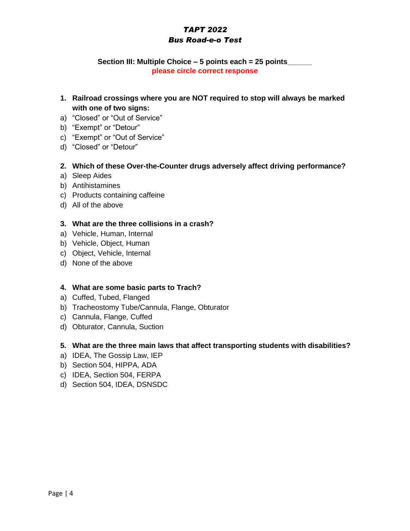### **Section III: Multiple Choice – 5 points each = 25 points\_\_\_\_\_\_ please circle correct response**

- **1. Railroad crossings where you are NOT required to stop will always be marked with one of two signs:**
- a) "Closed" or "Out of Service"
- b) "Exempt" or "Detour"
- c) "Exempt" or "Out of Service"
- d) "Closed" or "Detour"

### **2. Which of these Over-the-Counter drugs adversely affect driving performance?**

- a) Sleep Aides
- b) Antihistamines
- c) Products containing caffeine
- d) All of the above

### **3. What are the three collisions in a crash?**

- a) Vehicle, Human, Internal
- b) Vehicle, Object, Human
- c) Object, Vehicle, Internal
- d) None of the above

### **4. What are some basic parts to Trach?**

- a) Cuffed, Tubed, Flanged
- b) Tracheostomy Tube/Cannula, Flange, Obturator
- c) Cannula, Flange, Cuffed
- d) Obturator, Cannula, Suction

### **5. What are the three main laws that affect transporting students with disabilities?**

- a) IDEA, The Gossip Law, IEP
- b) Section 504, HIPPA, ADA
- c) IDEA, Section 504, FERPA
- d) Section 504, IDEA, DSNSDC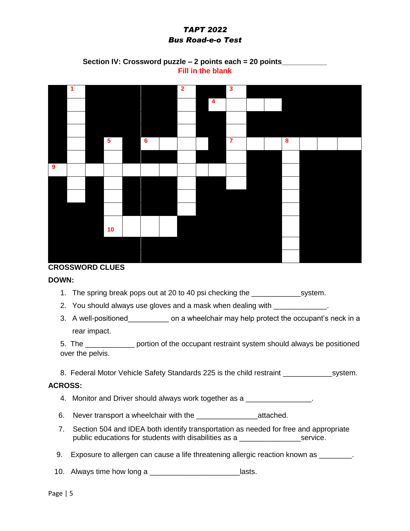### **Section IV: Crossword puzzle – 2 points each = 20 points\_\_\_\_\_\_\_\_\_\_\_ Fill in the blank**



### **CROSSWORD CLUES**

#### **DOWN:**

1. The spring break pops out at 20 to 40 psi checking the system.

2. You should always use gloves and a mask when dealing with \_\_\_\_\_\_\_\_\_\_\_\_\_\_

3. A well-positioned on a wheelchair may help protect the occupant's neck in a rear impact.

5. The \_\_\_\_\_\_\_\_\_\_\_\_ portion of the occupant restraint system should always be positioned over the pelvis.

8. Federal Motor Vehicle Safety Standards 225 is the child restraint \_\_\_\_\_\_\_\_\_\_\_\_system.

### **ACROSS:**

- 4. Monitor and Driver should always work together as a \_\_\_\_\_\_\_\_\_\_\_\_\_\_\_\_.
- 6. Never transport a wheelchair with the \_\_\_\_\_\_\_\_\_\_\_\_\_\_\_attached.
- 7. Section 504 and IDEA both identify transportation as needed for free and appropriate public educations for students with disabilities as a \_\_\_\_\_\_\_\_\_\_\_\_\_\_\_service.
- 9. Exposure to allergen can cause a life threatening allergic reaction known as
- 10. Always time how long a \_\_\_\_\_\_\_\_\_\_\_\_\_\_\_\_\_\_\_\_\_\_\_\_\_\_\_lasts.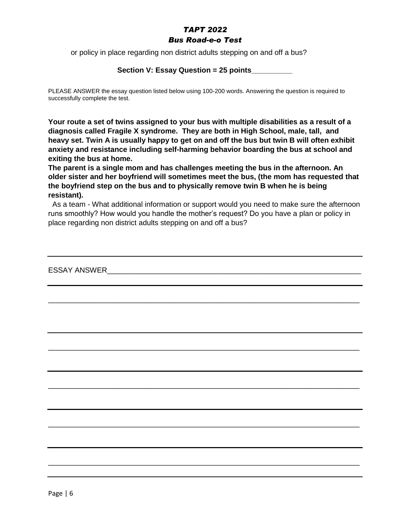### *TAPT 2022*

### *Bus Road-e-o Test*

or policy in place regarding non district adults stepping on and off a bus?

### **Section V: Essay Question = 25 points\_\_\_\_\_\_\_\_\_\_**

PLEASE ANSWER the essay question listed below using 100-200 words. Answering the question is required to successfully complete the test.

**Your route a set of twins assigned to your bus with multiple disabilities as a result of a diagnosis called Fragile X syndrome. They are both in High School, male, tall, and heavy set. Twin A is usually happy to get on and off the bus but twin B will often exhibit anxiety and resistance including self-harming behavior boarding the bus at school and exiting the bus at home.** 

**The parent is a single mom and has challenges meeting the bus in the afternoon. An older sister and her boyfriend will sometimes meet the bus, (the mom has requested that the boyfriend step on the bus and to physically remove twin B when he is being resistant).**

 As a team - What additional information or support would you need to make sure the afternoon runs smoothly? How would you handle the mother's request? Do you have a plan or policy in place regarding non district adults stepping on and off a bus?

\_\_\_\_\_\_\_\_\_\_\_\_\_\_\_\_\_\_\_\_\_\_\_\_\_\_\_\_\_\_\_\_\_\_\_\_\_\_\_\_\_\_\_\_\_\_\_\_\_\_\_\_\_\_\_\_\_\_\_\_\_\_\_\_\_\_\_\_\_\_\_\_\_\_\_\_

\_\_\_\_\_\_\_\_\_\_\_\_\_\_\_\_\_\_\_\_\_\_\_\_\_\_\_\_\_\_\_\_\_\_\_\_\_\_\_\_\_\_\_\_\_\_\_\_\_\_\_\_\_\_\_\_\_\_\_\_\_\_\_\_\_\_\_\_\_\_\_\_\_\_\_\_

\_\_\_\_\_\_\_\_\_\_\_\_\_\_\_\_\_\_\_\_\_\_\_\_\_\_\_\_\_\_\_\_\_\_\_\_\_\_\_\_\_\_\_\_\_\_\_\_\_\_\_\_\_\_\_\_\_\_\_\_\_\_\_\_\_\_\_\_\_\_\_\_\_\_\_\_

\_\_\_\_\_\_\_\_\_\_\_\_\_\_\_\_\_\_\_\_\_\_\_\_\_\_\_\_\_\_\_\_\_\_\_\_\_\_\_\_\_\_\_\_\_\_\_\_\_\_\_\_\_\_\_\_\_\_\_\_\_\_\_\_\_\_\_\_\_\_\_\_\_\_\_\_

\_\_\_\_\_\_\_\_\_\_\_\_\_\_\_\_\_\_\_\_\_\_\_\_\_\_\_\_\_\_\_\_\_\_\_\_\_\_\_\_\_\_\_\_\_\_\_\_\_\_\_\_\_\_\_\_\_\_\_\_\_\_\_\_\_\_\_\_\_\_\_\_\_\_\_\_

ESSAY ANSWER